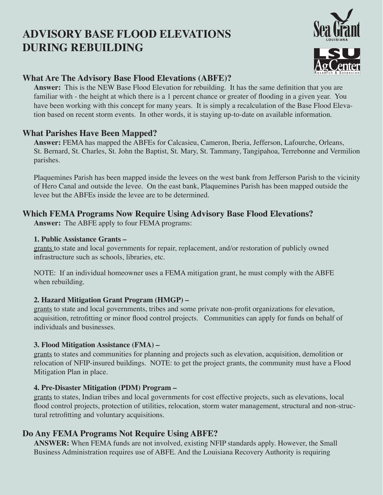# **ADVISORY BASE FLOOD ELEVATIONS DURING REBUILDING**



## **What Are The Advisory Base Flood Elevations (ABFE)?**

**Answer:** This is the NEW Base Flood Elevation for rebuilding. It has the same definition that you are familiar with - the height at which there is a 1 percent chance or greater of flooding in a given year. You have been working with this concept for many years. It is simply a recalculation of the Base Flood Elevation based on recent storm events. In other words, it is staying up-to-date on available information.

## **What Parishes Have Been Mapped?**

**Answer:** FEMA has mapped the ABFEs for Calcasieu, Cameron, Iberia, Jefferson, Lafourche, Orleans, St. Bernard, St. Charles, St. John the Baptist, St. Mary, St. Tammany, Tangipahoa, Terrebonne and Vermilion parishes.

Plaquemines Parish has been mapped inside the levees on the west bank from Jefferson Parish to the vicinity of Hero Canal and outside the levee. On the east bank, Plaquemines Parish has been mapped outside the levee but the ABFEs inside the levee are to be determined.

## **Which FEMA Programs Now Require Using Advisory Base Flood Elevations?**

**Answer:** The ABFE apply to four FEMA programs:

#### **1. Public Assistance Grants –**

grants to state and local governments for repair, replacement, and/or restoration of publicly owned infrastructure such as schools, libraries, etc.

NOTE: If an individual homeowner uses a FEMA mitigation grant, he must comply with the ABFE when rebuilding.

#### **2. Hazard Mitigation Grant Program (HMGP) –**

grants to state and local governments, tribes and some private non-profit organizations for elevation, acquisition, retrofitting or minor flood control projects. Communities can apply for funds on behalf of individuals and businesses.

#### **3. Flood Mitigation Assistance (FMA) –**

grants to states and communities for planning and projects such as elevation, acquisition, demolition or relocation of NFIP-insured buildings. NOTE: to get the project grants, the community must have a Flood Mitigation Plan in place.

#### **4. Pre-Disaster Mitigation (PDM) Program –**

grants to states, Indian tribes and local governments for cost effective projects, such as elevations, local flood control projects, protection of utilities, relocation, storm water management, structural and non-structural retrofitting and voluntary acquisitions.

## **Do Any FEMA Programs Not Require Using ABFE?**

**ANSWER:** When FEMA funds are not involved, existing NFIP standards apply. However, the Small Business Administration requires use of ABFE. And the Louisiana Recovery Authority is requiring